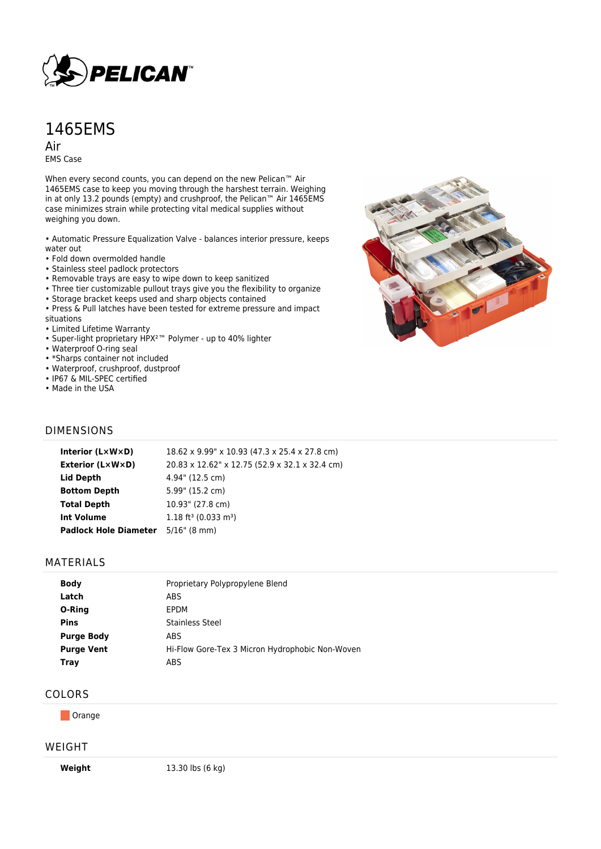

# 1465EMS

Air EMS Case

When every second counts, you can depend on the new Pelican™ Air 1465EMS case to keep you moving through the harshest terrain. Weighing in at only 13.2 pounds (empty) and crushproof, the Pelican™ Air 1465EMS case minimizes strain while protecting vital medical supplies without weighing you down.

• Automatic Pressure Equalization Valve - balances interior pressure, keeps water out

- Fold down overmolded handle
- Stainless steel padlock protectors
- Removable trays are easy to wipe down to keep sanitized
- Three tier customizable pullout trays give you the flexibility to organize
- Storage bracket keeps used and sharp objects contained
- Press & Pull latches have been tested for extreme pressure and impact situations
- Limited Lifetime Warranty
- Super-light proprietary HPX²™ Polymer up to 40% lighter
- Waterproof O-ring seal
- \*Sharps container not included
- Waterproof, crushproof, dustproof
- IP67 & MIL-SPEC certified
- Made in the USA



## DIMENSIONS

| Interior (LxWxD)             | 18.62 x 9.99" x 10.93 (47.3 x 25.4 x 27.8 cm)  |
|------------------------------|------------------------------------------------|
| Exterior (L×W×D)             | 20.83 x 12.62" x 12.75 (52.9 x 32.1 x 32.4 cm) |
| Lid Depth                    | 4.94" (12.5 cm)                                |
| <b>Bottom Depth</b>          | 5.99" (15.2 cm)                                |
| <b>Total Depth</b>           | 10.93" (27.8 cm)                               |
| <b>Int Volume</b>            | $1.18$ ft <sup>3</sup> (0.033 m <sup>3</sup> ) |
| <b>Padlock Hole Diameter</b> | $5/16$ " (8 mm)                                |
|                              |                                                |

#### MATERIALS

| Proprietary Polypropylene Blend                 |
|-------------------------------------------------|
| ABS                                             |
| EPDM                                            |
| Stainless Steel                                 |
| ABS                                             |
| Hi-Flow Gore-Tex 3 Micron Hydrophobic Non-Woven |
| ABS                                             |
|                                                 |

### COLORS

**Orange** 

#### WEIGHT